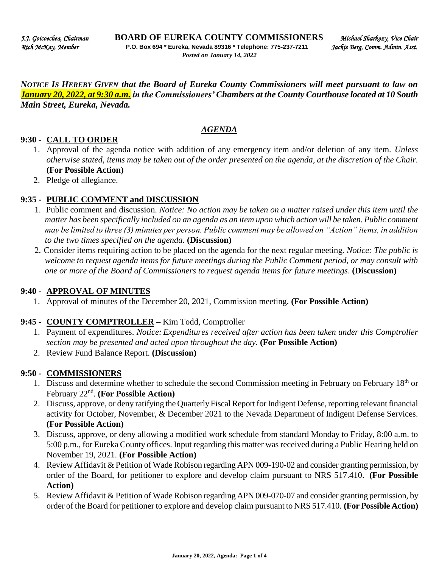*NOTICE IS HEREBY GIVEN that the Board of Eureka County Commissioners will meet pursuant to law on January 20, 2022, at 9:30 a.m. in the Commissioners' Chambers at the County Courthouse located at 10 South Main Street, Eureka, Nevada.* 

### *AGENDA*

### **9:30 - CALL TO ORDER**

- 1. Approval of the agenda notice with addition of any emergency item and/or deletion of any item. *Unless otherwise stated, items may be taken out of the order presented on the agenda, at the discretion of the Chair.* **(For Possible Action)**
- 2. Pledge of allegiance.

### **9:35 - PUBLIC COMMENT and DISCUSSION**

- 1. Public comment and discussion. *Notice: No action may be taken on a matter raised under this item until the matter has been specifically included on an agenda as an item upon which action will be taken. Public comment may be limited to three (3) minutes per person. Public comment may be allowed on "Action" items, in addition to the two times specified on the agenda.* **(Discussion)**
- 2. Consider items requiring action to be placed on the agenda for the next regular meeting. *Notice: The public is welcome to request agenda items for future meetings during the Public Comment period, or may consult with one or more of the Board of Commissioners to request agenda items for future meetings*. **(Discussion)**

### **9:40 - APPROVAL OF MINUTES**

1. Approval of minutes of the December 20, 2021, Commission meeting. **(For Possible Action)**

### **9:45 - COUNTY COMPTROLLER –** Kim Todd, Comptroller

- 1. Payment of expenditures. *Notice: Expenditures received after action has been taken under this Comptroller section may be presented and acted upon throughout the day.* **(For Possible Action)**
- 2. Review Fund Balance Report. **(Discussion)**

### **9:50 - COMMISSIONERS**

- 1. Discuss and determine whether to schedule the second Commission meeting in February on February 18<sup>th</sup> or February 22nd . **(For Possible Action)**
- 2. Discuss, approve, or deny ratifying the Quarterly Fiscal Report for Indigent Defense, reporting relevant financial activity for October, November, & December 2021 to the Nevada Department of Indigent Defense Services. **(For Possible Action)**
- 3. Discuss, approve, or deny allowing a modified work schedule from standard Monday to Friday, 8:00 a.m. to 5:00 p.m., for Eureka County offices. Input regarding this matter was received during a Public Hearing held on November 19, 2021. **(For Possible Action)**
- 4. Review Affidavit & Petition of Wade Robison regarding APN 009-190-02 and consider granting permission, by order of the Board, for petitioner to explore and develop claim pursuant to NRS 517.410. **(For Possible Action)**
- 5. Review Affidavit & Petition of Wade Robison regarding APN 009-070-07 and consider granting permission, by order of the Board for petitioner to explore and develop claim pursuant to NRS 517.410. **(For Possible Action)**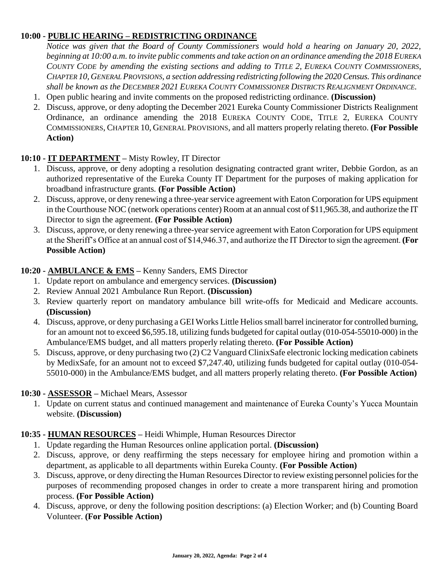# **10:00 - PUBLIC HEARING – REDISTRICTING ORDINANCE**

*Notice was given that the Board of County Commissioners would hold a hearing on January 20, 2022, beginning at 10:00 a.m. to invite public comments and take action on an ordinance amending the 2018 EUREKA COUNTY CODE by amending the existing sections and adding to TITLE 2, EUREKA COUNTY COMMISSIONERS, CHAPTER 10, GENERAL PROVISIONS, a section addressing redistricting following the 2020 Census. This ordinance shall be known as the DECEMBER 2021 EUREKA COUNTY COMMISSIONER DISTRICTS REALIGNMENT ORDINANCE.*

- 1. Open public hearing and invite comments on the proposed redistricting ordinance. **(Discussion)**
- 2. Discuss, approve, or deny adopting the December 2021 Eureka County Commissioner Districts Realignment Ordinance, an ordinance amending the 2018 EUREKA COUNTY CODE, TITLE 2, EUREKA COUNTY COMMISSIONERS, CHAPTER 10, GENERAL PROVISIONS, and all matters properly relating thereto. **(For Possible Action)**

# **10:10 - IT DEPARTMENT –** Misty Rowley, IT Director

- 1. Discuss, approve, or deny adopting a resolution designating contracted grant writer, Debbie Gordon, as an authorized representative of the Eureka County IT Department for the purposes of making application for broadband infrastructure grants*.* **(For Possible Action)**
- 2. Discuss, approve, or deny renewing a three-year service agreement with Eaton Corporation for UPS equipment in the Courthouse NOC (network operations center) Room at an annual cost of \$11,965.38, and authorize the IT Director to sign the agreement. **(For Possible Action)**
- 3. Discuss, approve, or deny renewing a three-year service agreement with Eaton Corporation for UPS equipment at the Sheriff's Office at an annual cost of \$14,946.37, and authorize the IT Director to sign the agreement. **(For Possible Action)**

# **10:20 - AMBULANCE & EMS –** Kenny Sanders, EMS Director

- 1. Update report on ambulance and emergency services. **(Discussion)**
- 2. Review Annual 2021 Ambulance Run Report. **(Discussion)**
- 3. Review quarterly report on mandatory ambulance bill write-offs for Medicaid and Medicare accounts. **(Discussion)**
- 4. Discuss, approve, or deny purchasing a GEI Works Little Helios small barrel incinerator for controlled burning, for an amount not to exceed \$6,595.18, utilizing funds budgeted for capital outlay (010-054-55010-000) in the Ambulance/EMS budget, and all matters properly relating thereto. **(For Possible Action)**
- 5. Discuss, approve, or deny purchasing two (2) C2 Vanguard ClinixSafe electronic locking medication cabinets by MedixSafe, for an amount not to exceed \$7,247.40, utilizing funds budgeted for capital outlay (010-054- 55010-000) in the Ambulance/EMS budget, and all matters properly relating thereto. **(For Possible Action)**

# **10:30 - ASSESSOR –** Michael Mears, Assessor

1. Update on current status and continued management and maintenance of Eureka County's Yucca Mountain website. **(Discussion)** 

# **10:35 - HUMAN RESOURCES –** Heidi Whimple, Human Resources Director

- 1. Update regarding the Human Resources online application portal. **(Discussion)**
- 2. Discuss, approve, or deny reaffirming the steps necessary for employee hiring and promotion within a department, as applicable to all departments within Eureka County. **(For Possible Action)**
- 3. Discuss, approve, or deny directing the Human Resources Director to review existing personnel policies for the purposes of recommending proposed changes in order to create a more transparent hiring and promotion process. **(For Possible Action)**
- 4. Discuss, approve, or deny the following position descriptions: (a) Election Worker; and (b) Counting Board Volunteer. **(For Possible Action)**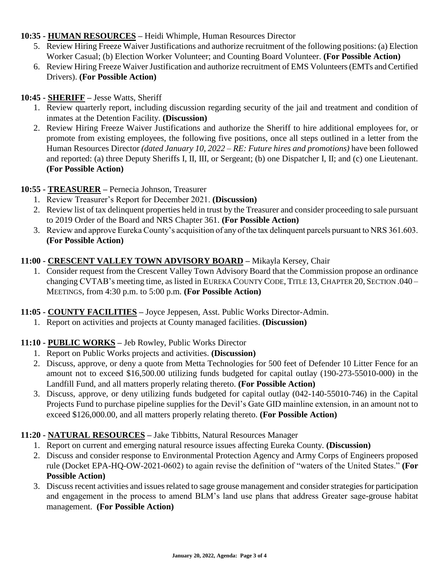# **10:35 - HUMAN RESOURCES –** Heidi Whimple, Human Resources Director

- 5. Review Hiring Freeze Waiver Justifications and authorize recruitment of the following positions: (a) Election Worker Casual; (b) Election Worker Volunteer; and Counting Board Volunteer. **(For Possible Action)**
- 6. Review Hiring Freeze Waiver Justification and authorize recruitment of EMS Volunteers (EMTs and Certified Drivers). **(For Possible Action)**

# **10:45 - SHERIFF –** Jesse Watts, Sheriff

- 1. Review quarterly report, including discussion regarding security of the jail and treatment and condition of inmates at the Detention Facility. **(Discussion)**
- 2. Review Hiring Freeze Waiver Justifications and authorize the Sheriff to hire additional employees for, or promote from existing employees, the following five positions, once all steps outlined in a letter from the Human Resources Director *(dated January 10, 2022 – RE: Future hires and promotions)* have been followed and reported: (a) three Deputy Sheriffs I, II, III, or Sergeant; (b) one Dispatcher I, II; and (c) one Lieutenant. **(For Possible Action)**

# **10:55 - TREASURER –** Pernecia Johnson, Treasurer

- 1. Review Treasurer's Report for December 2021. **(Discussion)**
- 2. Review list of tax delinquent properties held in trust by the Treasurer and consider proceeding to sale pursuant to 2019 Order of the Board and NRS Chapter 361. **(For Possible Action)**
- 3. Review and approve Eureka County's acquisition of any of the tax delinquent parcels pursuant to NRS 361.603. **(For Possible Action)**

# **11:00 - CRESCENT VALLEY TOWN ADVISORY BOARD –** Mikayla Kersey, Chair

1. Consider request from the Crescent Valley Town Advisory Board that the Commission propose an ordinance changing CVTAB's meeting time, as listed in EUREKA COUNTY CODE, TITLE 13, CHAPTER 20, SECTION .040 – MEETINGS, from 4:30 p.m. to 5:00 p.m*.* **(For Possible Action)** 

# **11:05 - COUNTY FACILITIES –** Joyce Jeppesen, Asst. Public Works Director-Admin.

1. Report on activities and projects at County managed facilities. **(Discussion)** 

# **11:10 - PUBLIC WORKS –** Jeb Rowley, Public Works Director

- 1. Report on Public Works projects and activities. **(Discussion)**
- 2. Discuss, approve, or deny a quote from Metta Technologies for 500 feet of Defender 10 Litter Fence for an amount not to exceed \$16,500.00 utilizing funds budgeted for capital outlay (190-273-55010-000) in the Landfill Fund, and all matters properly relating thereto. **(For Possible Action)**
- 3. Discuss, approve, or deny utilizing funds budgeted for capital outlay (042-140-55010-746) in the Capital Projects Fund to purchase pipeline supplies for the Devil's Gate GID mainline extension, in an amount not to exceed \$126,000.00, and all matters properly relating thereto. **(For Possible Action)**

# **11:20 - NATURAL RESOURCES –** Jake Tibbitts, Natural Resources Manager

- 1. Report on current and emerging natural resource issues affecting Eureka County. **(Discussion)**
- 2. Discuss and consider response to Environmental Protection Agency and Army Corps of Engineers proposed rule (Docket EPA-HQ-OW-2021-0602) to again revise the definition of "waters of the United States." **(For Possible Action)**
- 3. Discuss recent activities and issues related to sage grouse management and consider strategies for participation and engagement in the process to amend BLM's land use plans that address Greater sage-grouse habitat management. **(For Possible Action)**